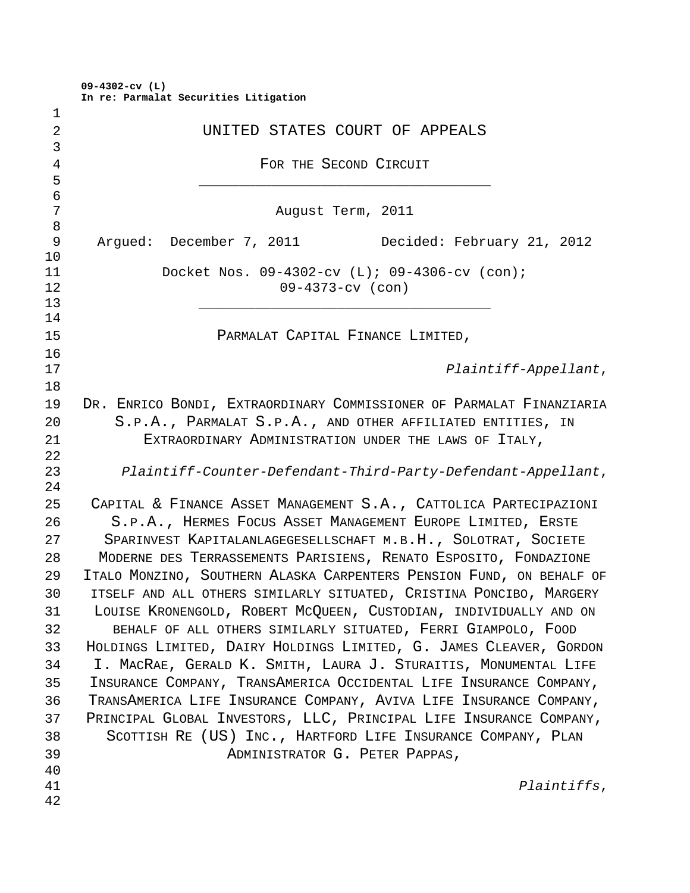**09-4302-cv (L) In re: Parmalat Securities Litigation**

| $\mathbf 1$    |                                                                      |
|----------------|----------------------------------------------------------------------|
| $\overline{2}$ | UNITED STATES COURT OF APPEALS                                       |
| 3              |                                                                      |
| $\overline{4}$ | FOR THE SECOND CIRCUIT                                               |
| 5              |                                                                      |
| $\epsilon$     |                                                                      |
| 7              | August Term, 2011                                                    |
| 8              |                                                                      |
| 9              | Argued: December 7, 2011 Decided: February 21, 2012                  |
| 10             |                                                                      |
| 11             | Docket Nos. 09-4302-cv (L); 09-4306-cv (con);                        |
| 12<br>13       | $09 - 4373 - cv$ (con)                                               |
| 14             |                                                                      |
| 15             | PARMALAT CAPITAL FINANCE LIMITED,                                    |
| 16             |                                                                      |
| 17             | Plaintiff-Appellant,                                                 |
| 18             |                                                                      |
| 19             | DR. ENRICO BONDI, EXTRAORDINARY COMMISSIONER OF PARMALAT FINANZIARIA |
| 20             | S.P.A., PARMALAT S.P.A., AND OTHER AFFILIATED ENTITIES, IN           |
| 21             |                                                                      |
| 22             | EXTRAORDINARY ADMINISTRATION UNDER THE LAWS OF ITALY,                |
| 23             | Plaintiff-Counter-Defendant-Third-Party-Defendant-Appellant,         |
| 24             |                                                                      |
| 25             | CAPITAL & FINANCE ASSET MANAGEMENT S.A., CATTOLICA PARTECIPAZIONI    |
| 26             | S.P.A., HERMES FOCUS ASSET MANAGEMENT EUROPE LIMITED, ERSTE          |
| 27             | SPARINVEST KAPITALANLAGEGESELLSCHAFT M.B.H., SOLOTRAT, SOCIETE       |
| 28             | MODERNE DES TERRASSEMENTS PARISIENS, RENATO ESPOSITO, FONDAZIONE     |
| 29             | ITALO MONZINO, SOUTHERN ALASKA CARPENTERS PENSION FUND, ON BEHALF OF |
| 30             | ITSELF AND ALL OTHERS SIMILARLY SITUATED, CRISTINA PONCIBO, MARGERY  |
| 31             | LOUISE KRONENGOLD, ROBERT MCQUEEN, CUSTODIAN, INDIVIDUALLY AND ON    |
|                |                                                                      |
| 32             | BEHALF OF ALL OTHERS SIMILARLY SITUATED, FERRI GIAMPOLO, FOOD        |
| 33             | HOLDINGS LIMITED, DAIRY HOLDINGS LIMITED, G. JAMES CLEAVER, GORDON   |
| 34             | I. MACRAE, GERALD K. SMITH, LAURA J. STURAITIS, MONUMENTAL LIFE      |
| 35             | INSURANCE COMPANY, TRANSAMERICA OCCIDENTAL LIFE INSURANCE COMPANY,   |
| 36             | TRANSAMERICA LIFE INSURANCE COMPANY, AVIVA LIFE INSURANCE COMPANY,   |
| 37             | PRINCIPAL GLOBAL INVESTORS, LLC, PRINCIPAL LIFE INSURANCE COMPANY,   |
| 38             | SCOTTISH RE (US) INC., HARTFORD LIFE INSURANCE COMPANY, PLAN         |
| 39             | ADMINISTRATOR G. PETER PAPPAS,                                       |
| 40             |                                                                      |
| 41             | Plaintiffs,                                                          |
| 42             |                                                                      |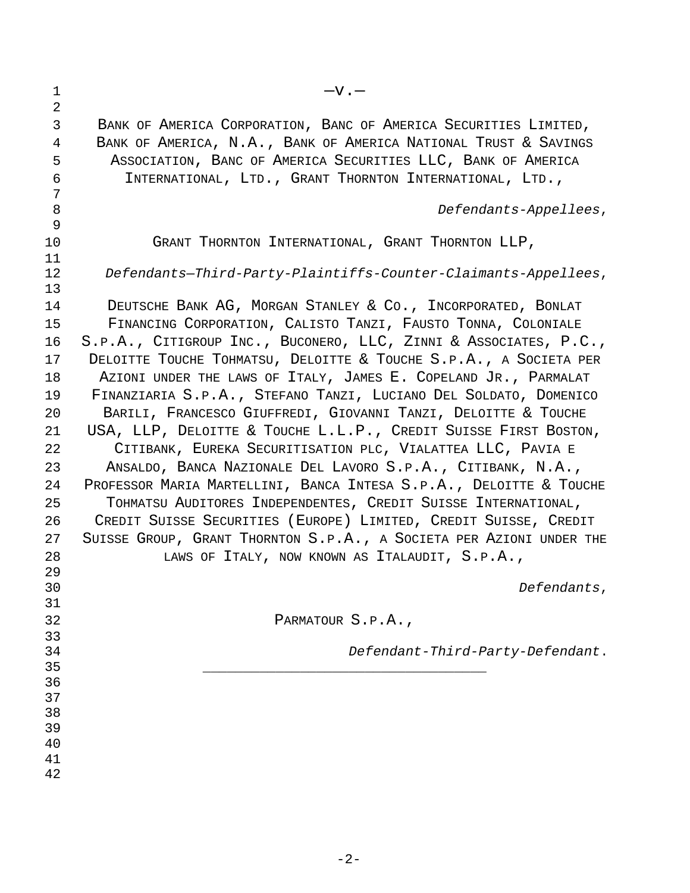| $\overline{2}$<br>3<br>BANK OF AMERICA CORPORATION, BANC OF AMERICA SECURITIES LIMITED,<br>BANK OF AMERICA, N.A., BANK OF AMERICA NATIONAL TRUST & SAVINGS<br>4<br>5<br>ASSOCIATION, BANC OF AMERICA SECURITIES LLC, BANK OF AMERICA<br>6<br>INTERNATIONAL, LTD., GRANT THORNTON INTERNATIONAL, LTD.,<br>7<br>8<br>Defendants-Appellees,<br>9<br>10<br>GRANT THORNTON INTERNATIONAL, GRANT THORNTON LLP,<br>11<br>12<br>Defendants-Third-Party-Plaintiffs-Counter-Claimants-Appellees,<br>13<br>DEUTSCHE BANK AG, MORGAN STANLEY & CO., INCORPORATED, BONLAT<br>14<br>FINANCING CORPORATION, CALISTO TANZI, FAUSTO TONNA, COLONIALE<br>15<br>S.P.A., CITIGROUP INC., BUCONERO, LLC, ZINNI & ASSOCIATES, P.C.,<br>16<br>17<br>DELOITTE TOUCHE TOHMATSU, DELOITTE & TOUCHE S.P.A., A SOCIETA PER<br>18<br>AZIONI UNDER THE LAWS OF ITALY, JAMES E. COPELAND JR., PARMALAT<br>FINANZIARIA S.P.A., STEFANO TANZI, LUCIANO DEL SOLDATO, DOMENICO<br>19<br>20<br>BARILI, FRANCESCO GIUFFREDI, GIOVANNI TANZI, DELOITTE & TOUCHE<br>USA, LLP, DELOITTE & TOUCHE L.L.P., CREDIT SUISSE FIRST BOSTON,<br>21<br>22<br>CITIBANK, EUREKA SECURITISATION PLC, VIALATTEA LLC, PAVIA E<br>23<br>ANSALDO, BANCA NAZIONALE DEL LAVORO S.P.A., CITIBANK, N.A.,<br>PROFESSOR MARIA MARTELLINI, BANCA INTESA S.P.A., DELOITTE & TOUCHE<br>24<br>25<br>TOHMATSU AUDITORES INDEPENDENTES, CREDIT SUISSE INTERNATIONAL,<br>CREDIT SUISSE SECURITIES (EUROPE) LIMITED, CREDIT SUISSE, CREDIT<br>26<br>27<br>SUISSE GROUP, GRANT THORNTON S.P.A., A SOCIETA PER AZIONI UNDER THE<br>28<br>LAWS OF ITALY, NOW KNOWN AS ITALAUDIT, S.P.A.,<br>29<br>30<br>Defendants, |
|--------------------------------------------------------------------------------------------------------------------------------------------------------------------------------------------------------------------------------------------------------------------------------------------------------------------------------------------------------------------------------------------------------------------------------------------------------------------------------------------------------------------------------------------------------------------------------------------------------------------------------------------------------------------------------------------------------------------------------------------------------------------------------------------------------------------------------------------------------------------------------------------------------------------------------------------------------------------------------------------------------------------------------------------------------------------------------------------------------------------------------------------------------------------------------------------------------------------------------------------------------------------------------------------------------------------------------------------------------------------------------------------------------------------------------------------------------------------------------------------------------------------------------------------------------------------------------------------------------------------------------------------|
|                                                                                                                                                                                                                                                                                                                                                                                                                                                                                                                                                                                                                                                                                                                                                                                                                                                                                                                                                                                                                                                                                                                                                                                                                                                                                                                                                                                                                                                                                                                                                                                                                                            |
|                                                                                                                                                                                                                                                                                                                                                                                                                                                                                                                                                                                                                                                                                                                                                                                                                                                                                                                                                                                                                                                                                                                                                                                                                                                                                                                                                                                                                                                                                                                                                                                                                                            |
|                                                                                                                                                                                                                                                                                                                                                                                                                                                                                                                                                                                                                                                                                                                                                                                                                                                                                                                                                                                                                                                                                                                                                                                                                                                                                                                                                                                                                                                                                                                                                                                                                                            |
|                                                                                                                                                                                                                                                                                                                                                                                                                                                                                                                                                                                                                                                                                                                                                                                                                                                                                                                                                                                                                                                                                                                                                                                                                                                                                                                                                                                                                                                                                                                                                                                                                                            |
|                                                                                                                                                                                                                                                                                                                                                                                                                                                                                                                                                                                                                                                                                                                                                                                                                                                                                                                                                                                                                                                                                                                                                                                                                                                                                                                                                                                                                                                                                                                                                                                                                                            |
|                                                                                                                                                                                                                                                                                                                                                                                                                                                                                                                                                                                                                                                                                                                                                                                                                                                                                                                                                                                                                                                                                                                                                                                                                                                                                                                                                                                                                                                                                                                                                                                                                                            |
|                                                                                                                                                                                                                                                                                                                                                                                                                                                                                                                                                                                                                                                                                                                                                                                                                                                                                                                                                                                                                                                                                                                                                                                                                                                                                                                                                                                                                                                                                                                                                                                                                                            |
|                                                                                                                                                                                                                                                                                                                                                                                                                                                                                                                                                                                                                                                                                                                                                                                                                                                                                                                                                                                                                                                                                                                                                                                                                                                                                                                                                                                                                                                                                                                                                                                                                                            |
|                                                                                                                                                                                                                                                                                                                                                                                                                                                                                                                                                                                                                                                                                                                                                                                                                                                                                                                                                                                                                                                                                                                                                                                                                                                                                                                                                                                                                                                                                                                                                                                                                                            |
|                                                                                                                                                                                                                                                                                                                                                                                                                                                                                                                                                                                                                                                                                                                                                                                                                                                                                                                                                                                                                                                                                                                                                                                                                                                                                                                                                                                                                                                                                                                                                                                                                                            |
|                                                                                                                                                                                                                                                                                                                                                                                                                                                                                                                                                                                                                                                                                                                                                                                                                                                                                                                                                                                                                                                                                                                                                                                                                                                                                                                                                                                                                                                                                                                                                                                                                                            |
|                                                                                                                                                                                                                                                                                                                                                                                                                                                                                                                                                                                                                                                                                                                                                                                                                                                                                                                                                                                                                                                                                                                                                                                                                                                                                                                                                                                                                                                                                                                                                                                                                                            |
|                                                                                                                                                                                                                                                                                                                                                                                                                                                                                                                                                                                                                                                                                                                                                                                                                                                                                                                                                                                                                                                                                                                                                                                                                                                                                                                                                                                                                                                                                                                                                                                                                                            |
|                                                                                                                                                                                                                                                                                                                                                                                                                                                                                                                                                                                                                                                                                                                                                                                                                                                                                                                                                                                                                                                                                                                                                                                                                                                                                                                                                                                                                                                                                                                                                                                                                                            |
|                                                                                                                                                                                                                                                                                                                                                                                                                                                                                                                                                                                                                                                                                                                                                                                                                                                                                                                                                                                                                                                                                                                                                                                                                                                                                                                                                                                                                                                                                                                                                                                                                                            |
|                                                                                                                                                                                                                                                                                                                                                                                                                                                                                                                                                                                                                                                                                                                                                                                                                                                                                                                                                                                                                                                                                                                                                                                                                                                                                                                                                                                                                                                                                                                                                                                                                                            |
|                                                                                                                                                                                                                                                                                                                                                                                                                                                                                                                                                                                                                                                                                                                                                                                                                                                                                                                                                                                                                                                                                                                                                                                                                                                                                                                                                                                                                                                                                                                                                                                                                                            |
|                                                                                                                                                                                                                                                                                                                                                                                                                                                                                                                                                                                                                                                                                                                                                                                                                                                                                                                                                                                                                                                                                                                                                                                                                                                                                                                                                                                                                                                                                                                                                                                                                                            |
|                                                                                                                                                                                                                                                                                                                                                                                                                                                                                                                                                                                                                                                                                                                                                                                                                                                                                                                                                                                                                                                                                                                                                                                                                                                                                                                                                                                                                                                                                                                                                                                                                                            |
|                                                                                                                                                                                                                                                                                                                                                                                                                                                                                                                                                                                                                                                                                                                                                                                                                                                                                                                                                                                                                                                                                                                                                                                                                                                                                                                                                                                                                                                                                                                                                                                                                                            |
|                                                                                                                                                                                                                                                                                                                                                                                                                                                                                                                                                                                                                                                                                                                                                                                                                                                                                                                                                                                                                                                                                                                                                                                                                                                                                                                                                                                                                                                                                                                                                                                                                                            |
|                                                                                                                                                                                                                                                                                                                                                                                                                                                                                                                                                                                                                                                                                                                                                                                                                                                                                                                                                                                                                                                                                                                                                                                                                                                                                                                                                                                                                                                                                                                                                                                                                                            |
|                                                                                                                                                                                                                                                                                                                                                                                                                                                                                                                                                                                                                                                                                                                                                                                                                                                                                                                                                                                                                                                                                                                                                                                                                                                                                                                                                                                                                                                                                                                                                                                                                                            |
|                                                                                                                                                                                                                                                                                                                                                                                                                                                                                                                                                                                                                                                                                                                                                                                                                                                                                                                                                                                                                                                                                                                                                                                                                                                                                                                                                                                                                                                                                                                                                                                                                                            |
|                                                                                                                                                                                                                                                                                                                                                                                                                                                                                                                                                                                                                                                                                                                                                                                                                                                                                                                                                                                                                                                                                                                                                                                                                                                                                                                                                                                                                                                                                                                                                                                                                                            |
|                                                                                                                                                                                                                                                                                                                                                                                                                                                                                                                                                                                                                                                                                                                                                                                                                                                                                                                                                                                                                                                                                                                                                                                                                                                                                                                                                                                                                                                                                                                                                                                                                                            |
| 31<br>32<br>PARMATOUR S.P.A.,                                                                                                                                                                                                                                                                                                                                                                                                                                                                                                                                                                                                                                                                                                                                                                                                                                                                                                                                                                                                                                                                                                                                                                                                                                                                                                                                                                                                                                                                                                                                                                                                              |
| 33                                                                                                                                                                                                                                                                                                                                                                                                                                                                                                                                                                                                                                                                                                                                                                                                                                                                                                                                                                                                                                                                                                                                                                                                                                                                                                                                                                                                                                                                                                                                                                                                                                         |
| 34<br>Defendant-Third-Party-Defendant.                                                                                                                                                                                                                                                                                                                                                                                                                                                                                                                                                                                                                                                                                                                                                                                                                                                                                                                                                                                                                                                                                                                                                                                                                                                                                                                                                                                                                                                                                                                                                                                                     |
| 35                                                                                                                                                                                                                                                                                                                                                                                                                                                                                                                                                                                                                                                                                                                                                                                                                                                                                                                                                                                                                                                                                                                                                                                                                                                                                                                                                                                                                                                                                                                                                                                                                                         |
| 36                                                                                                                                                                                                                                                                                                                                                                                                                                                                                                                                                                                                                                                                                                                                                                                                                                                                                                                                                                                                                                                                                                                                                                                                                                                                                                                                                                                                                                                                                                                                                                                                                                         |
| 37                                                                                                                                                                                                                                                                                                                                                                                                                                                                                                                                                                                                                                                                                                                                                                                                                                                                                                                                                                                                                                                                                                                                                                                                                                                                                                                                                                                                                                                                                                                                                                                                                                         |
| 38                                                                                                                                                                                                                                                                                                                                                                                                                                                                                                                                                                                                                                                                                                                                                                                                                                                                                                                                                                                                                                                                                                                                                                                                                                                                                                                                                                                                                                                                                                                                                                                                                                         |
| 39                                                                                                                                                                                                                                                                                                                                                                                                                                                                                                                                                                                                                                                                                                                                                                                                                                                                                                                                                                                                                                                                                                                                                                                                                                                                                                                                                                                                                                                                                                                                                                                                                                         |
| 40<br>41                                                                                                                                                                                                                                                                                                                                                                                                                                                                                                                                                                                                                                                                                                                                                                                                                                                                                                                                                                                                                                                                                                                                                                                                                                                                                                                                                                                                                                                                                                                                                                                                                                   |
| 42                                                                                                                                                                                                                                                                                                                                                                                                                                                                                                                                                                                                                                                                                                                                                                                                                                                                                                                                                                                                                                                                                                                                                                                                                                                                                                                                                                                                                                                                                                                                                                                                                                         |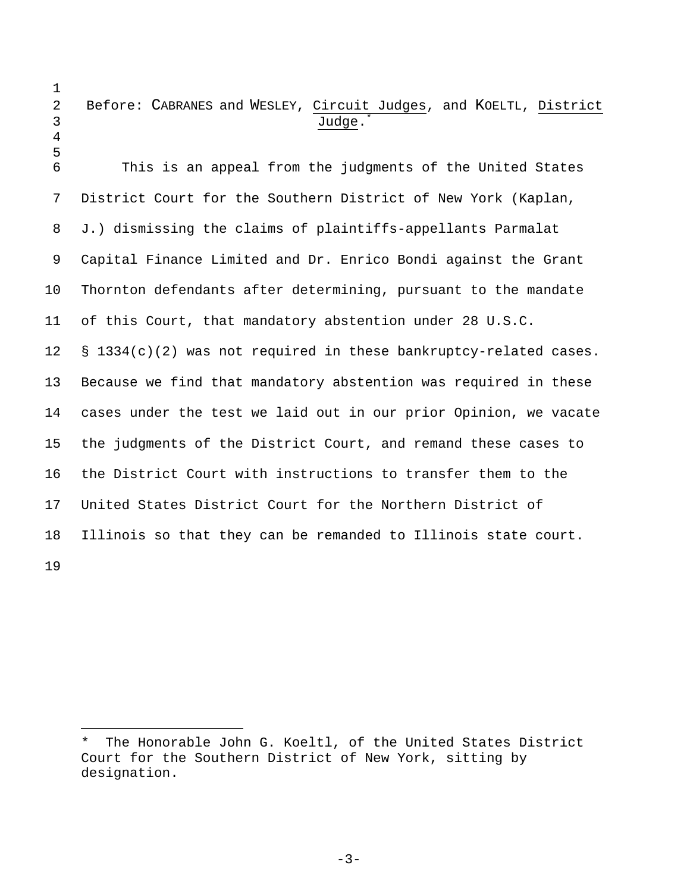- 1
- 

## 2 Before: CABRANES and WESLEY, Circuit Judges, and KOELTL, District 3 Judge.

4 5

i<br>Li

6 This is an appeal from the judgments of the United States 7 District Court for the Southern District of New York (Kaplan, 8 J.) dismissing the claims of plaintiffs-appellants Parmalat 9 Capital Finance Limited and Dr. Enrico Bondi against the Grant 10 Thornton defendants after determining, pursuant to the mandate 11 of this Court, that mandatory abstention under 28 U.S.C. 12 § 1334(c)(2) was not required in these bankruptcy-related cases. 13 Because we find that mandatory abstention was required in these 14 cases under the test we laid out in our prior Opinion, we vacate 15 the judgments of the District Court, and remand these cases to 16 the District Court with instructions to transfer them to the 17 United States District Court for the Northern District of 18 Illinois so that they can be remanded to Illinois state court. 19

The Honorable John G. Koeltl, of the United States District Court for the Southern District of New York, sitting by designation.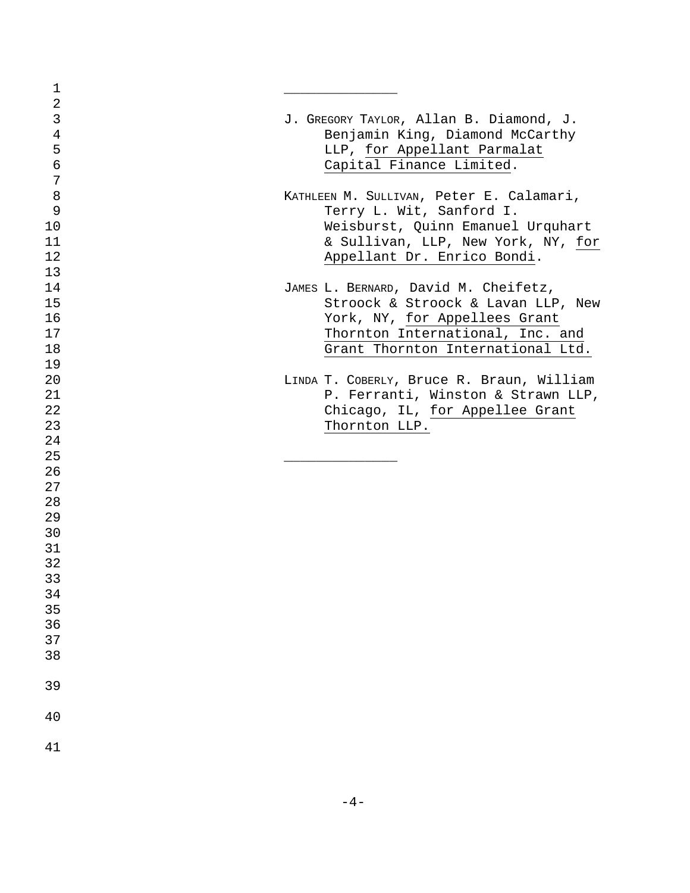| 1          |                                           |
|------------|-------------------------------------------|
| $\sqrt{2}$ |                                           |
| 3          | J. GREGORY TAYLOR, Allan B. Diamond, J.   |
| $\bf 4$    | Benjamin King, Diamond McCarthy           |
| 5          | LLP, for Appellant Parmalat               |
| $\sigma$   | Capital Finance Limited.                  |
| 7          |                                           |
| 8          | KATHLEEN M. SULLIVAN, Peter E. Calamari,  |
| 9          | Terry L. Wit, Sanford I.                  |
| 10         | Weisburst, Quinn Emanuel Urquhart         |
| 11         | & Sullivan, LLP, New York, NY, for        |
| 12         | Appellant Dr. Enrico Bondi.               |
| 13         |                                           |
| 14         |                                           |
|            | JAMES L. BERNARD, David M. Cheifetz,      |
| 15         | Stroock & Stroock & Lavan LLP, New        |
| 16         | York, NY, for Appellees Grant             |
| 17         | Thornton International, Inc. and          |
| 18         | Grant Thornton International Ltd.         |
| 19         |                                           |
| 20         | LINDA T. COBERLY, Bruce R. Braun, William |
| 21         | P. Ferranti, Winston & Strawn LLP,        |
| 22         | Chicago, IL, for Appellee Grant           |
| 23         | Thornton LLP.                             |
| 24         |                                           |
| 25         |                                           |
| 26         |                                           |
| 27         |                                           |
| 28         |                                           |
| 29         |                                           |
| 30         |                                           |
| 31         |                                           |
| 32         |                                           |
| 33         |                                           |
| 34         |                                           |
| 35         |                                           |
| 36         |                                           |
| 37         |                                           |
| 38         |                                           |
|            |                                           |
| 39         |                                           |
|            |                                           |
| 40         |                                           |
|            |                                           |
| 41         |                                           |
|            |                                           |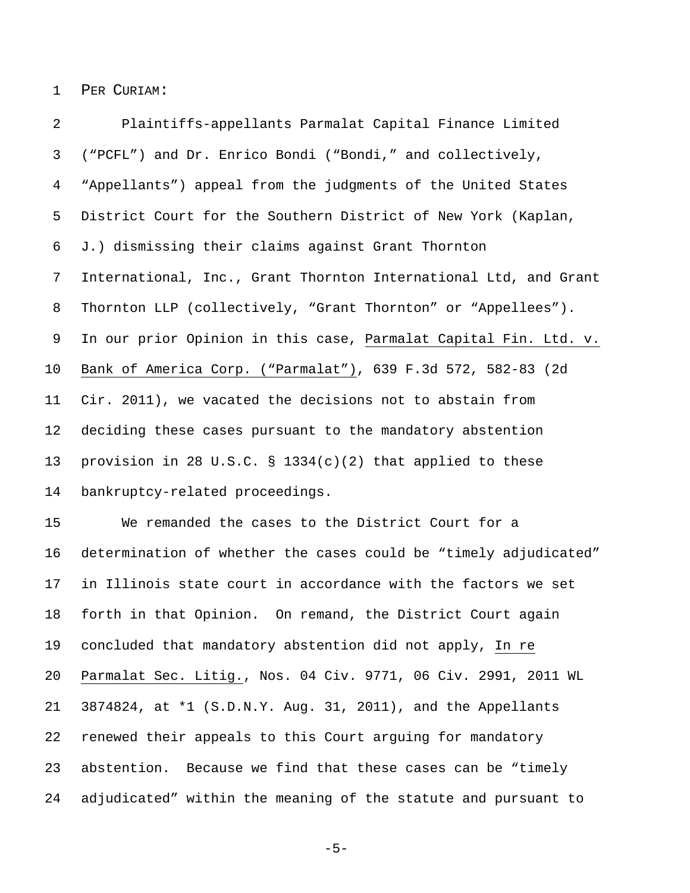1 PER CURIAM:

2 Plaintiffs-appellants Parmalat Capital Finance Limited 3 ("PCFL") and Dr. Enrico Bondi ("Bondi," and collectively, 4 "Appellants") appeal from the judgments of the United States 5 District Court for the Southern District of New York (Kaplan, 6 J.) dismissing their claims against Grant Thornton 7 International, Inc., Grant Thornton International Ltd, and Grant 8 Thornton LLP (collectively, "Grant Thornton" or "Appellees"). 9 In our prior Opinion in this case, Parmalat Capital Fin. Ltd. v. 10 Bank of America Corp. ("Parmalat"), 639 F.3d 572, 582-83 (2d 11 Cir. 2011), we vacated the decisions not to abstain from 12 deciding these cases pursuant to the mandatory abstention 13 provision in 28 U.S.C. § 1334(c)(2) that applied to these 14 bankruptcy-related proceedings.

15 We remanded the cases to the District Court for a 16 determination of whether the cases could be "timely adjudicated" 17 in Illinois state court in accordance with the factors we set 18 forth in that Opinion. On remand, the District Court again 19 concluded that mandatory abstention did not apply, In re 20 Parmalat Sec. Litig., Nos. 04 Civ. 9771, 06 Civ. 2991, 2011 WL 21 3874824, at \*1 (S.D.N.Y. Aug. 31, 2011), and the Appellants 22 renewed their appeals to this Court arguing for mandatory 23 abstention. Because we find that these cases can be "timely 24 adjudicated" within the meaning of the statute and pursuant to

-5-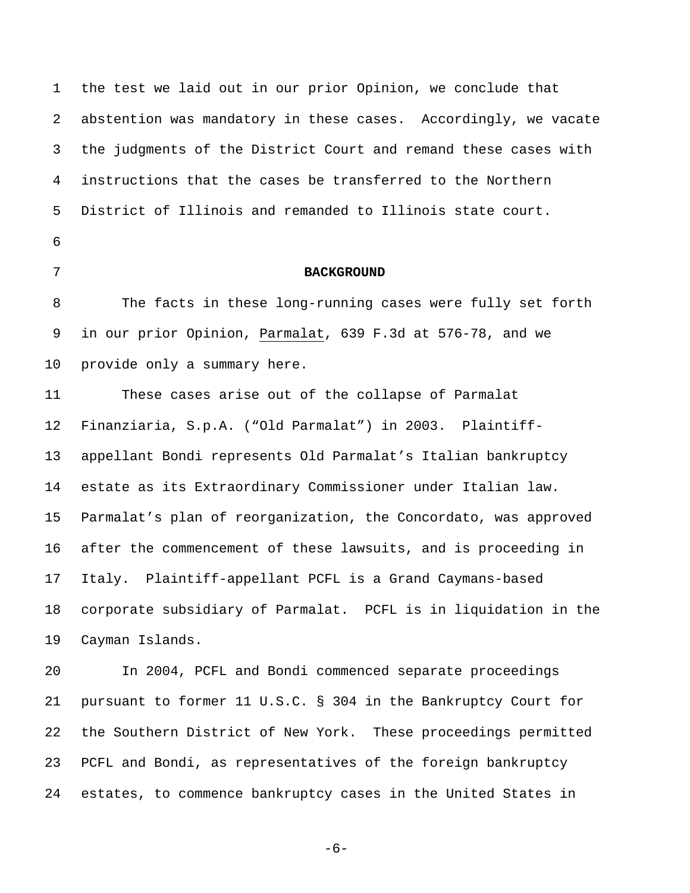1 the test we laid out in our prior Opinion, we conclude that 2 abstention was mandatory in these cases. Accordingly, we vacate 3 the judgments of the District Court and remand these cases with 4 instructions that the cases be transferred to the Northern 5 District of Illinois and remanded to Illinois state court. 6

## 7 **BACKGROUND**

8 The facts in these long-running cases were fully set forth 9 in our prior Opinion, Parmalat, 639 F.3d at 576-78, and we 10 provide only a summary here.

11 These cases arise out of the collapse of Parmalat 12 Finanziaria, S.p.A. ("Old Parmalat") in 2003. Plaintiff-13 appellant Bondi represents Old Parmalat's Italian bankruptcy 14 estate as its Extraordinary Commissioner under Italian law. 15 Parmalat's plan of reorganization, the Concordato, was approved 16 after the commencement of these lawsuits, and is proceeding in 17 Italy.Plaintiff-appellant PCFL is a Grand Caymans-based 18 corporate subsidiary of Parmalat. PCFL is in liquidation in the 19 Cayman Islands.

20 In 2004, PCFL and Bondi commenced separate proceedings 21 pursuant to former 11 U.S.C. § 304 in the Bankruptcy Court for 22 the Southern District of New York. These proceedings permitted 23 PCFL and Bondi, as representatives of the foreign bankruptcy 24 estates, to commence bankruptcy cases in the United States in

-6-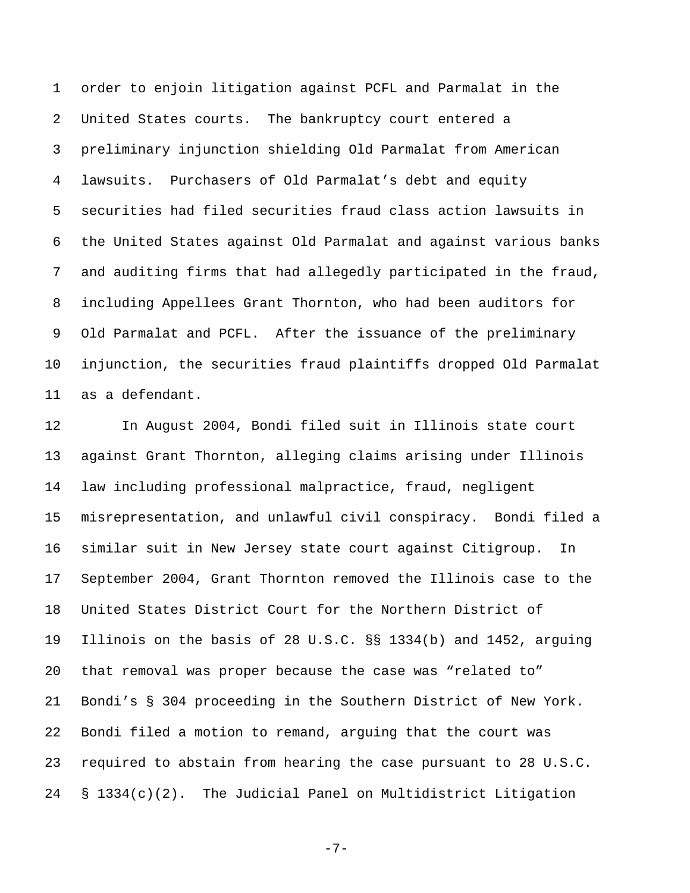1 order to enjoin litigation against PCFL and Parmalat in the 2 United States courts. The bankruptcy court entered a 3 preliminary injunction shielding Old Parmalat from American 4 lawsuits. Purchasers of Old Parmalat's debt and equity 5 securities had filed securities fraud class action lawsuits in 6 the United States against Old Parmalat and against various banks 7 and auditing firms that had allegedly participated in the fraud, 8 including Appellees Grant Thornton, who had been auditors for 9 Old Parmalat and PCFL. After the issuance of the preliminary 10 injunction, the securities fraud plaintiffs dropped Old Parmalat 11 as a defendant.

12 In August 2004, Bondi filed suit in Illinois state court 13 against Grant Thornton, alleging claims arising under Illinois 14 law including professional malpractice, fraud, negligent 15 misrepresentation, and unlawful civil conspiracy. Bondi filed a 16 similar suit in New Jersey state court against Citigroup. In 17 September 2004, Grant Thornton removed the Illinois case to the 18 United States District Court for the Northern District of 19 Illinois on the basis of 28 U.S.C. §§ 1334(b) and 1452, arguing 20 that removal was proper because the case was "related to" 21 Bondi's § 304 proceeding in the Southern District of New York. 22 Bondi filed a motion to remand, arguing that the court was 23 required to abstain from hearing the case pursuant to 28 U.S.C. 24 § 1334(c)(2). The Judicial Panel on Multidistrict Litigation

 $-7-$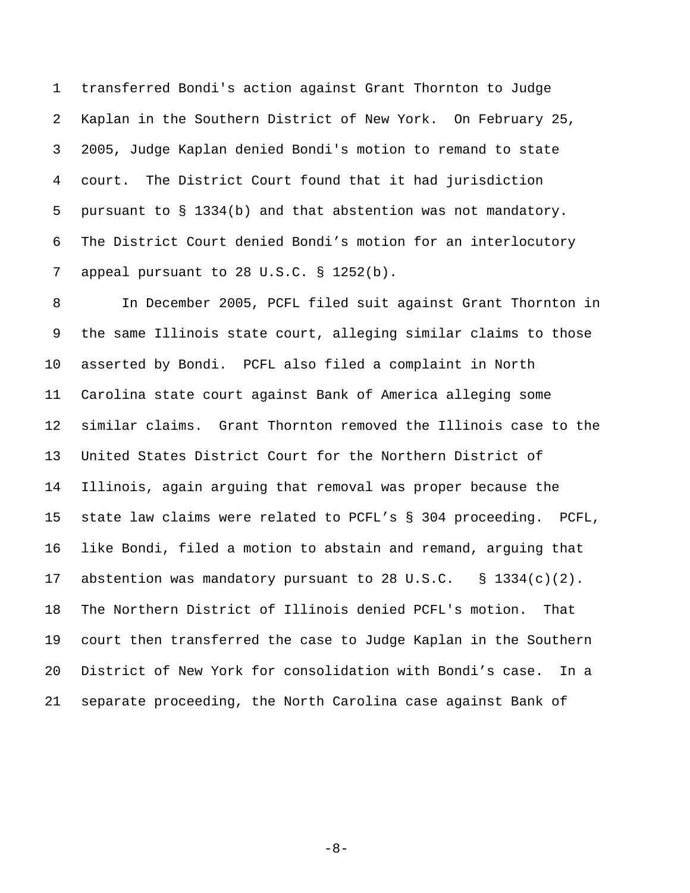1 transferred Bondi's action against Grant Thornton to Judge 2 Kaplan in the Southern District of New York. On February 25, 3 2005, Judge Kaplan denied Bondi's motion to remand to state 4 court. The District Court found that it had jurisdiction 5 pursuant to § 1334(b) and that abstention was not mandatory. 6 The District Court denied Bondi's motion for an interlocutory 7 appeal pursuant to 28 U.S.C. § 1252(b).

8 In December 2005, PCFL filed suit against Grant Thornton in 9 the same Illinois state court, alleging similar claims to those 10 asserted by Bondi. PCFL also filed a complaint in North 11 Carolina state court against Bank of America alleging some 12 similar claims. Grant Thornton removed the Illinois case to the 13 United States District Court for the Northern District of 14 Illinois, again arguing that removal was proper because the 15 state law claims were related to PCFL's § 304 proceeding. PCFL, 16 like Bondi, filed a motion to abstain and remand, arguing that 17 abstention was mandatory pursuant to 28 U.S.C. § 1334(c)(2). 18 The Northern District of Illinois denied PCFL's motion. That 19 court then transferred the case to Judge Kaplan in the Southern 20 District of New York for consolidation with Bondi's case. In a 21 separate proceeding, the North Carolina case against Bank of

-8-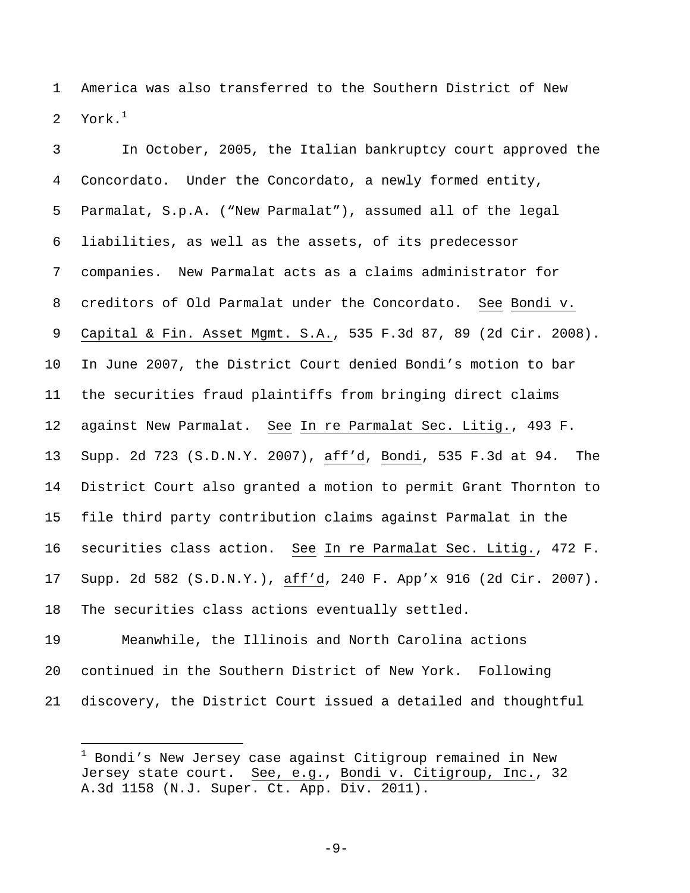1 America was also transferred to the Southern District of New 2 York. $1$ 

3 In October, 2005, the Italian bankruptcy court approved the 4 Concordato. Under the Concordato, a newly formed entity, 5 Parmalat, S.p.A. ("New Parmalat"), assumed all of the legal 6 liabilities, as well as the assets, of its predecessor 7 companies. New Parmalat acts as a claims administrator for 8 creditors of Old Parmalat under the Concordato. See Bondi v. 9 Capital & Fin. Asset Mgmt. S.A., 535 F.3d 87, 89 (2d Cir. 2008). 10 In June 2007, the District Court denied Bondi's motion to bar 11 the securities fraud plaintiffs from bringing direct claims 12 against New Parmalat. See In re Parmalat Sec. Litig., 493 F. 13 Supp. 2d 723 (S.D.N.Y. 2007), aff'd, Bondi, 535 F.3d at 94. The 14 District Court also granted a motion to permit Grant Thornton to 15 file third party contribution claims against Parmalat in the 16 securities class action. See In re Parmalat Sec. Litig., 472 F. 17 Supp. 2d 582 (S.D.N.Y.), aff'd, 240 F. App'x 916 (2d Cir. 2007). 18 The securities class actions eventually settled.

19 Meanwhile, the Illinois and North Carolina actions 20 continued in the Southern District of New York. Following 21 discovery, the District Court issued a detailed and thoughtful

i

 $-9-$ 

 $^1$  Bondi's New Jersey case against Citigroup remained in New Jersey state court. See, e.g., Bondi v. Citigroup, Inc., 32 A.3d 1158 (N.J. Super. Ct. App. Div. 2011).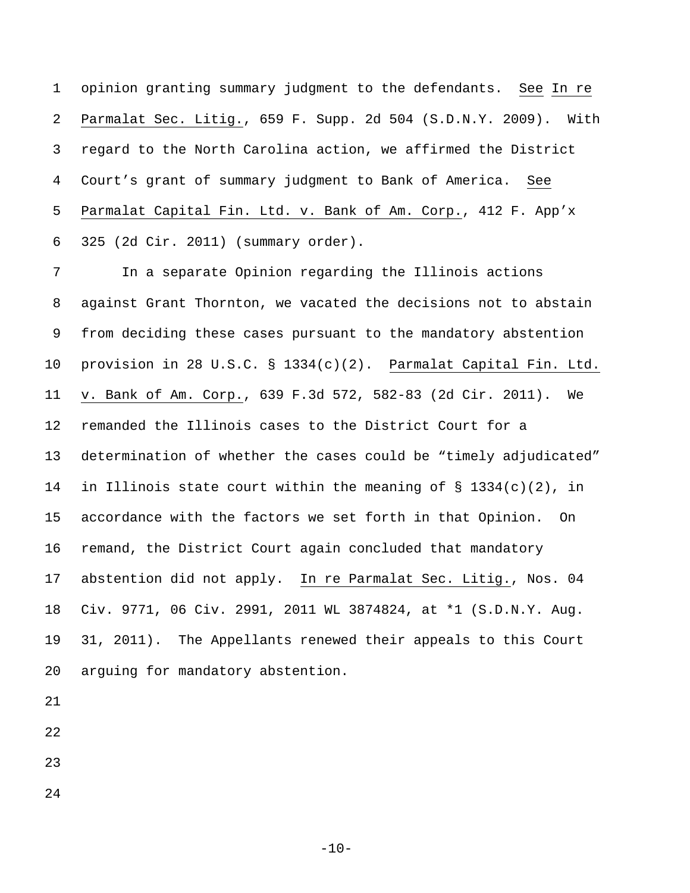1 opinion granting summary judgment to the defendants. See In re 2 Parmalat Sec. Litig., 659 F. Supp. 2d 504 (S.D.N.Y. 2009). With 3 regard to the North Carolina action, we affirmed the District 4 Court's grant of summary judgment to Bank of America. See 5 Parmalat Capital Fin. Ltd. v. Bank of Am. Corp., 412 F. App'x 6 325 (2d Cir. 2011) (summary order).

7 In a separate Opinion regarding the Illinois actions 8 against Grant Thornton, we vacated the decisions not to abstain 9 from deciding these cases pursuant to the mandatory abstention 10 provision in 28 U.S.C. § 1334(c)(2). Parmalat Capital Fin. Ltd. 11 v. Bank of Am. Corp., 639 F.3d 572, 582-83 (2d Cir. 2011). We 12 remanded the Illinois cases to the District Court for a 13 determination of whether the cases could be "timely adjudicated" 14 in Illinois state court within the meaning of  $\S$  1334(c)(2), in 15 accordance with the factors we set forth in that Opinion. On 16 remand, the District Court again concluded that mandatory 17 abstention did not apply. In re Parmalat Sec. Litig., Nos. 04 18 Civ. 9771, 06 Civ. 2991, 2011 WL 3874824, at \*1 (S.D.N.Y. Aug. 19 31, 2011). The Appellants renewed their appeals to this Court 20 arguing for mandatory abstention.

- 21
- 22
- 23
- 24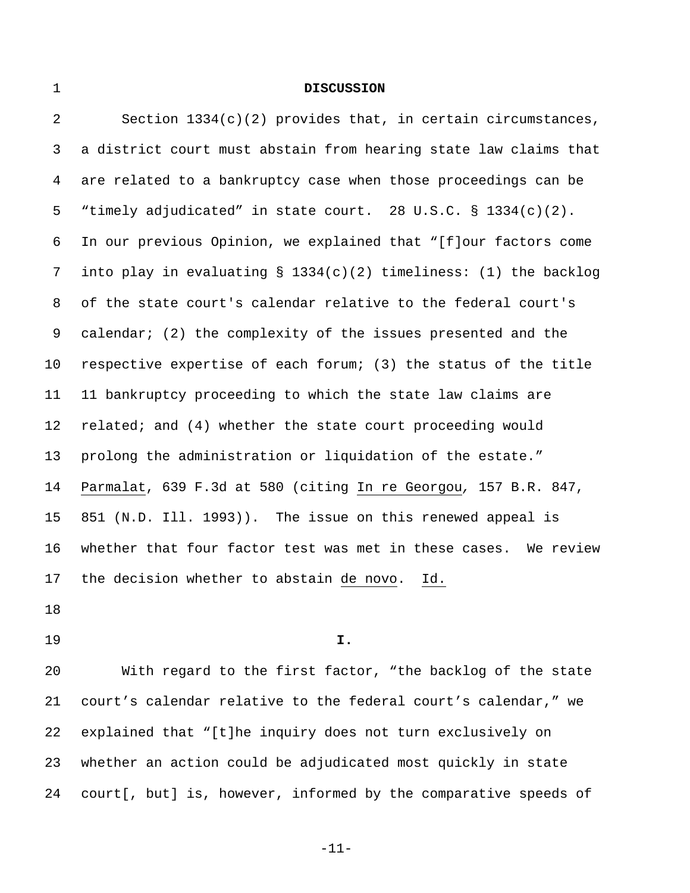## 1 **DISCUSSION**

2 Section 1334(c)(2) provides that, in certain circumstances, 3 a district court must abstain from hearing state law claims that 4 are related to a bankruptcy case when those proceedings can be 5 "timely adjudicated" in state court. 28 U.S.C. § 1334(c)(2). 6 In our previous Opinion, we explained that "[f]our factors come 7 into play in evaluating § 1334(c)(2) timeliness: (1) the backlog 8 of the state court's calendar relative to the federal court's 9 calendar; (2) the complexity of the issues presented and the 10 respective expertise of each forum; (3) the status of the title 11 11 bankruptcy proceeding to which the state law claims are 12 related; and (4) whether the state court proceeding would 13 prolong the administration or liquidation of the estate." 14 Parmalat, 639 F.3d at 580 (citing In re Georgou*,* 157 B.R. 847, 15 851 (N.D. Ill. 1993)). The issue on this renewed appeal is 16 whether that four factor test was met in these cases. We review 17 the decision whether to abstain de novo. Id.

18

19 **I.** 

20 With regard to the first factor, "the backlog of the state 21 court's calendar relative to the federal court's calendar," we 22 explained that "[t]he inquiry does not turn exclusively on 23 whether an action could be adjudicated most quickly in state 24 court[, but] is, however, informed by the comparative speeds of

-11-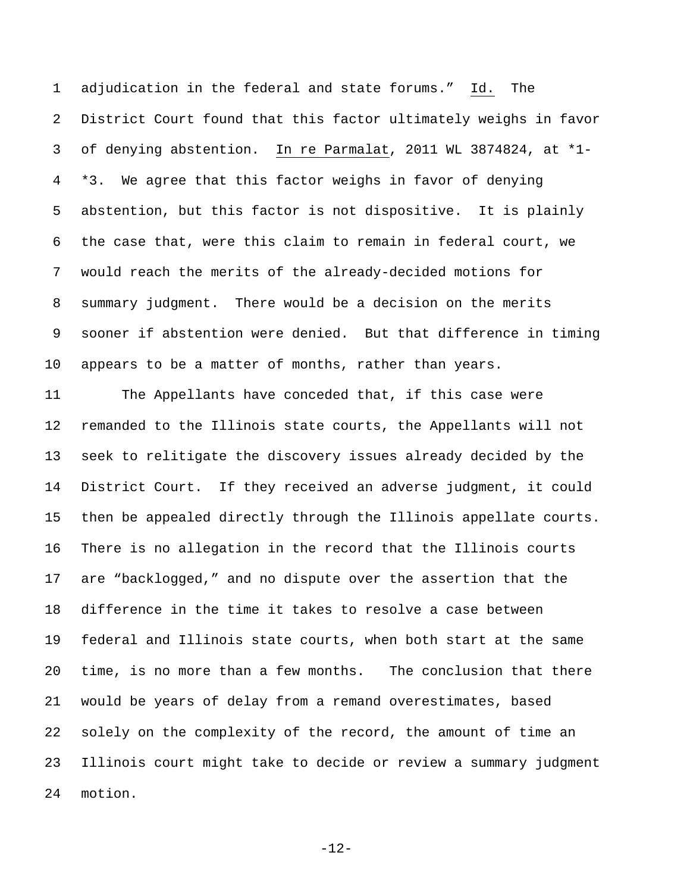1 adjudication in the federal and state forums." Id. The 2 District Court found that this factor ultimately weighs in favor 3 of denying abstention. In re Parmalat, 2011 WL 3874824, at \*1- 4 \*3. We agree that this factor weighs in favor of denying 5 abstention, but this factor is not dispositive. It is plainly 6 the case that, were this claim to remain in federal court, we 7 would reach the merits of the already-decided motions for 8 summary judgment. There would be a decision on the merits 9 sooner if abstention were denied. But that difference in timing 10 appears to be a matter of months, rather than years.

11 The Appellants have conceded that, if this case were 12 remanded to the Illinois state courts, the Appellants will not 13 seek to relitigate the discovery issues already decided by the 14 District Court. If they received an adverse judgment, it could 15 then be appealed directly through the Illinois appellate courts. 16 There is no allegation in the record that the Illinois courts 17 are "backlogged," and no dispute over the assertion that the 18 difference in the time it takes to resolve a case between 19 federal and Illinois state courts, when both start at the same 20 time, is no more than a few months. The conclusion that there 21 would be years of delay from a remand overestimates, based 22 solely on the complexity of the record, the amount of time an 23 Illinois court might take to decide or review a summary judgment 24 motion.

-12-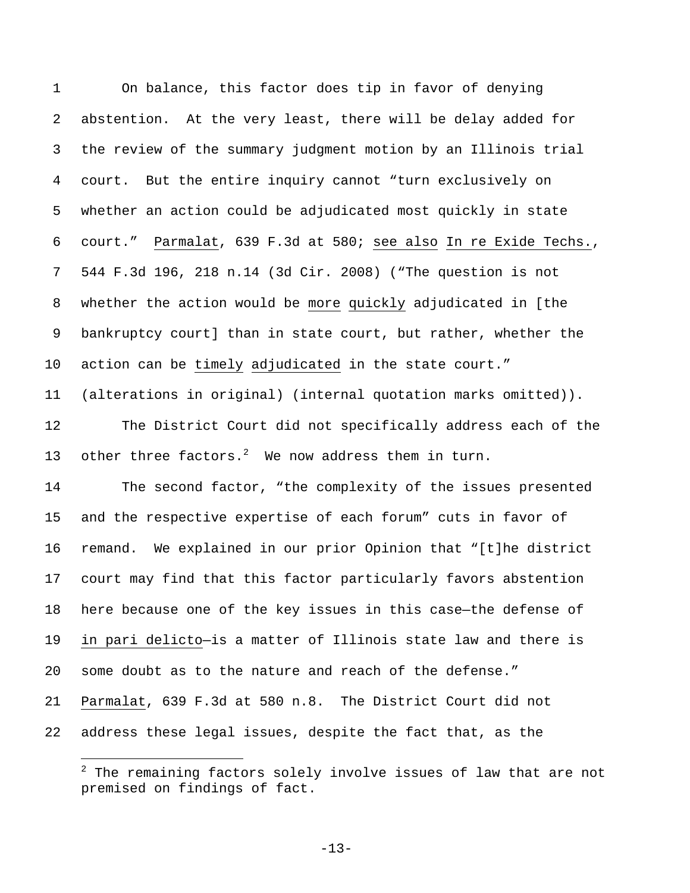1 On balance, this factor does tip in favor of denying 2 abstention. At the very least, there will be delay added for 3 the review of the summary judgment motion by an Illinois trial 4 court. But the entire inquiry cannot "turn exclusively on 5 whether an action could be adjudicated most quickly in state 6 court." Parmalat, 639 F.3d at 580; see also In re Exide Techs., 7 544 F.3d 196, 218 n.14 (3d Cir. 2008) ("The question is not 8 whether the action would be more quickly adjudicated in [the 9 bankruptcy court] than in state court, but rather, whether the 10 action can be timely adjudicated in the state court." 11 (alterations in original) (internal quotation marks omitted)). 12 The District Court did not specifically address each of the 13 other three factors.<sup>2</sup> We now address them in turn. 14 The second factor, "the complexity of the issues presented 15 and the respective expertise of each forum" cuts in favor of 16 remand. We explained in our prior Opinion that "[t]he district 17 court may find that this factor particularly favors abstention 18 here because one of the key issues in this case—the defense of 19 in pari delicto—is a matter of Illinois state law and there is 20 some doubt as to the nature and reach of the defense." 21 Parmalat, 639 F.3d at 580 n.8. The District Court did not 22 address these legal issues, despite the fact that, as the

i

-13-

 $^{\rm 2}$  The remaining factors solely involve issues of law that are not premised on findings of fact.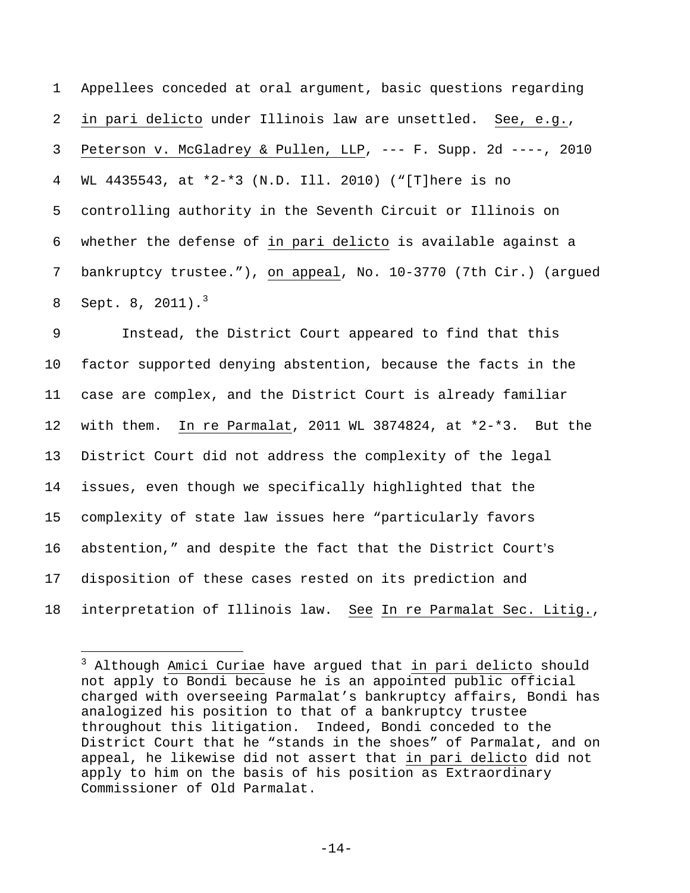1 Appellees conceded at oral argument, basic questions regarding 2 in pari delicto under Illinois law are unsettled. See, e.g., 3 Peterson v. McGladrey & Pullen, LLP, --- F. Supp. 2d ----, 2010 4 WL 4435543, at \*2-\*3 (N.D. Ill. 2010) ("[T]here is no 5 controlling authority in the Seventh Circuit or Illinois on 6 whether the defense of in pari delicto is available against a 7 bankruptcy trustee."), on appeal, No. 10-3770 (7th Cir.) (argued 8 Sept. 8,  $2011$ ).<sup>3</sup>

9 Instead, the District Court appeared to find that this 10 factor supported denying abstention, because the facts in the 11 case are complex, and the District Court is already familiar 12 with them. In re Parmalat, 2011 WL 3874824, at \*2-\*3. But the 13 District Court did not address the complexity of the legal 14 issues, even though we specifically highlighted that the 15 complexity of state law issues here "particularly favors 16 abstention," and despite the fact that the District Court's 17 disposition of these cases rested on its prediction and 18 interpretation of Illinois law. See In re Parmalat Sec. Litig.,

i<br>Li

<sup>&</sup>lt;sup>3</sup> Although Amici Curiae have argued that in pari delicto should not apply to Bondi because he is an appointed public official charged with overseeing Parmalat's bankruptcy affairs, Bondi has analogized his position to that of a bankruptcy trustee throughout this litigation. Indeed, Bondi conceded to the District Court that he "stands in the shoes" of Parmalat, and on appeal, he likewise did not assert that in pari delicto did not apply to him on the basis of his position as Extraordinary Commissioner of Old Parmalat.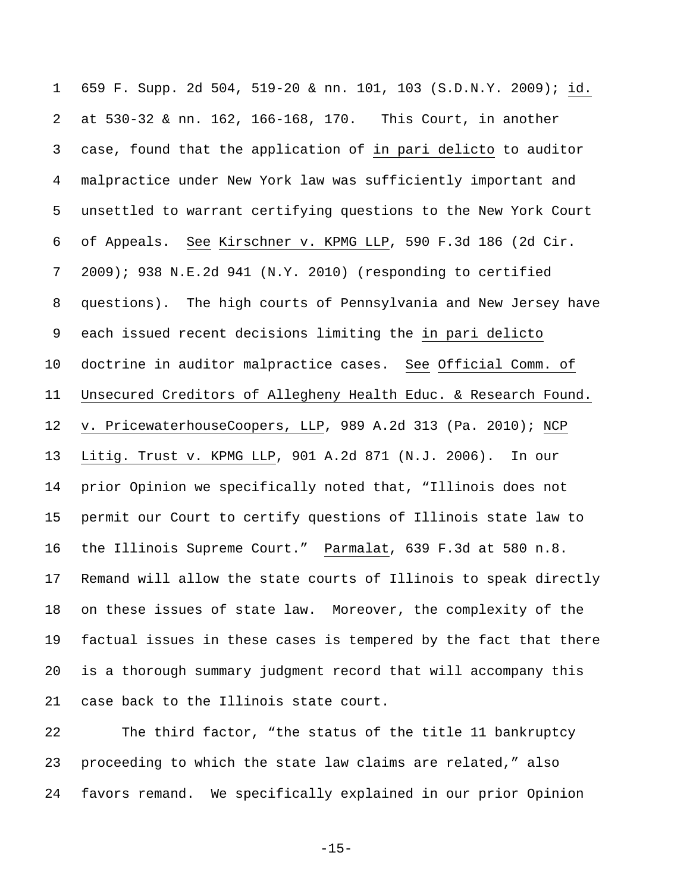1 659 F. Supp. 2d 504, 519-20 & nn. 101, 103 (S.D.N.Y. 2009); id. 2 at 530-32 & nn. 162, 166-168, 170. This Court, in another 3 case, found that the application of in pari delicto to auditor 4 malpractice under New York law was sufficiently important and 5 unsettled to warrant certifying questions to the New York Court 6 of Appeals. See Kirschner v. KPMG LLP, 590 F.3d 186 (2d Cir. 7 2009); 938 N.E.2d 941 (N.Y. 2010) (responding to certified 8 questions). The high courts of Pennsylvania and New Jersey have 9 each issued recent decisions limiting the in pari delicto 10 doctrine in auditor malpractice cases. See Official Comm. of 11 Unsecured Creditors of Allegheny Health Educ. & Research Found. 12 v. PricewaterhouseCoopers, LLP, 989 A.2d 313 (Pa. 2010); NCP 13 Litig. Trust v. KPMG LLP, 901 A.2d 871 (N.J. 2006). In our 14 prior Opinion we specifically noted that, "Illinois does not 15 permit our Court to certify questions of Illinois state law to 16 the Illinois Supreme Court." Parmalat, 639 F.3d at 580 n.8. 17 Remand will allow the state courts of Illinois to speak directly 18 on these issues of state law. Moreover, the complexity of the 19 factual issues in these cases is tempered by the fact that there 20 is a thorough summary judgment record that will accompany this 21 case back to the Illinois state court.

22 The third factor, "the status of the title 11 bankruptcy 23 proceeding to which the state law claims are related," also 24 favors remand. We specifically explained in our prior Opinion

 $-15-$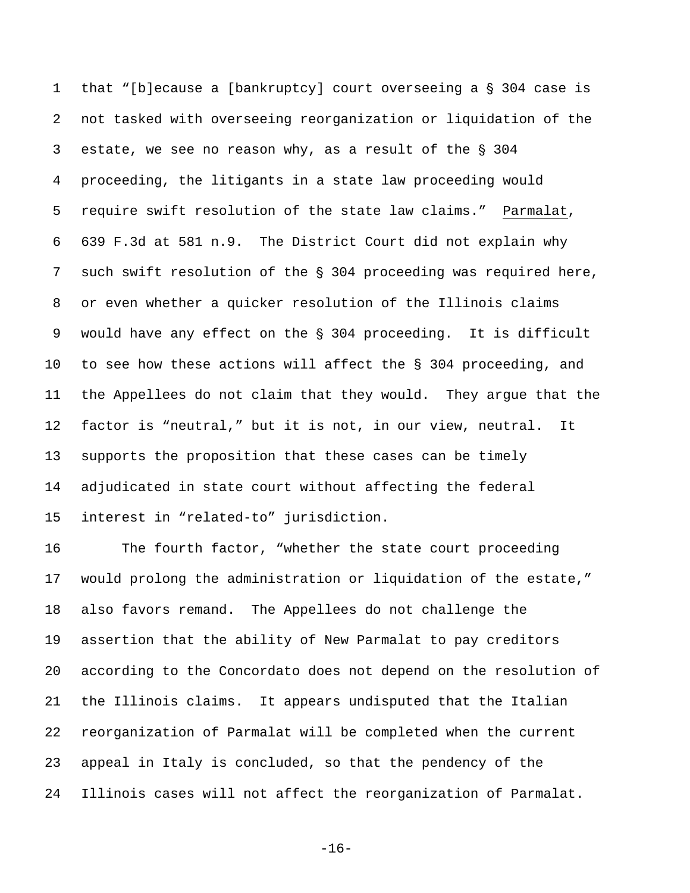1 that "[b]ecause a [bankruptcy] court overseeing a  $\S$  304 case is 2 not tasked with overseeing reorganization or liquidation of the 3 estate, we see no reason why, as a result of the  $\S$  304 4 proceeding, the litigants in a state law proceeding would 5 require swift resolution of the state law claims." Parmalat, 6 639 F.3d at 581 n.9. The District Court did not explain why 7 such swift resolution of the  $\S$  304 proceeding was required here, 8 or even whether a quicker resolution of the Illinois claims 9 would have any effect on the § 304 proceeding. It is difficult 10 to see how these actions will affect the § 304 proceeding, and 11 the Appellees do not claim that they would. They argue that the 12 factor is "neutral," but it is not, in our view, neutral. It 13 supports the proposition that these cases can be timely 14 adjudicated in state court without affecting the federal 15 interest in "related-to" jurisdiction.

16 The fourth factor, "whether the state court proceeding 17 would prolong the administration or liquidation of the estate," 18 also favors remand. The Appellees do not challenge the 19 assertion that the ability of New Parmalat to pay creditors 20 according to the Concordato does not depend on the resolution of 21 the Illinois claims. It appears undisputed that the Italian 22 reorganization of Parmalat will be completed when the current 23 appeal in Italy is concluded, so that the pendency of the 24 Illinois cases will not affect the reorganization of Parmalat.

-16-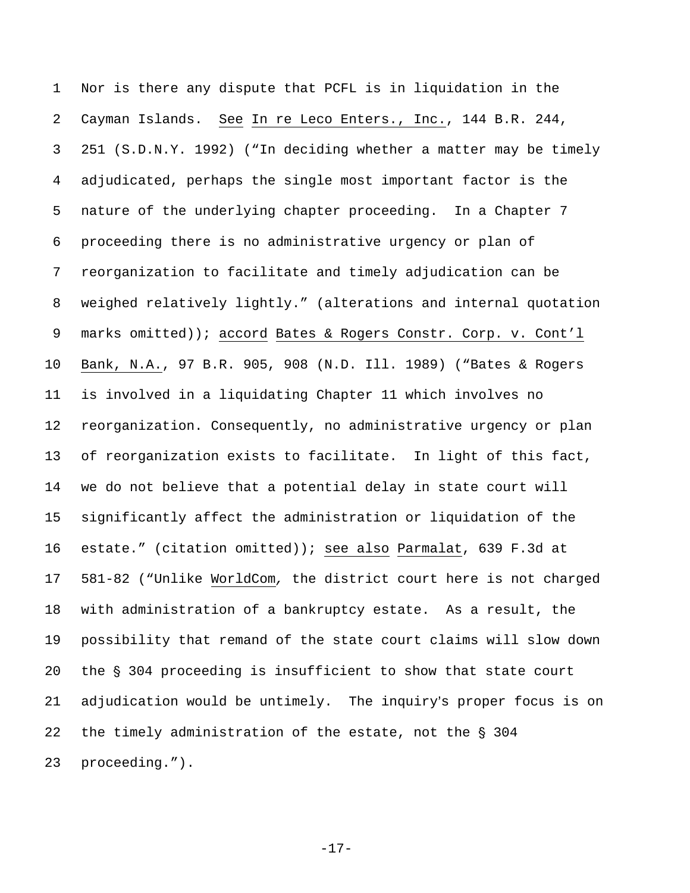1 Nor is there any dispute that PCFL is in liquidation in the 2 Cayman Islands. See In re Leco Enters., Inc., 144 B.R. 244, 3 251 (S.D.N.Y. 1992) ("In deciding whether a matter may be timely 4 adjudicated, perhaps the single most important factor is the 5 nature of the underlying chapter proceeding. In a Chapter 7 6 proceeding there is no administrative urgency or plan of 7 reorganization to facilitate and timely adjudication can be 8 weighed relatively lightly." (alterations and internal quotation 9 marks omitted)); accord Bates & Rogers Constr. Corp. v. Cont'l 10 Bank, N.A., 97 B.R. 905, 908 (N.D. Ill. 1989) ("Bates & Rogers 11 is involved in a liquidating Chapter 11 which involves no 12 reorganization. Consequently, no administrative urgency or plan 13 of reorganization exists to facilitate. In light of this fact, 14 we do not believe that a potential delay in state court will 15 significantly affect the administration or liquidation of the 16 estate." (citation omitted)); see also Parmalat, 639 F.3d at 17 581-82 ("Unlike WorldCom*,* the district court here is not charged 18 with administration of a bankruptcy estate. As a result, the 19 possibility that remand of the state court claims will slow down 20 the  $\S$  304 proceeding is insufficient to show that state court 21 adjudication would be untimely. The inquiry's proper focus is on 22 the timely administration of the estate, not the  $\S$  304 23 proceeding.").

-17-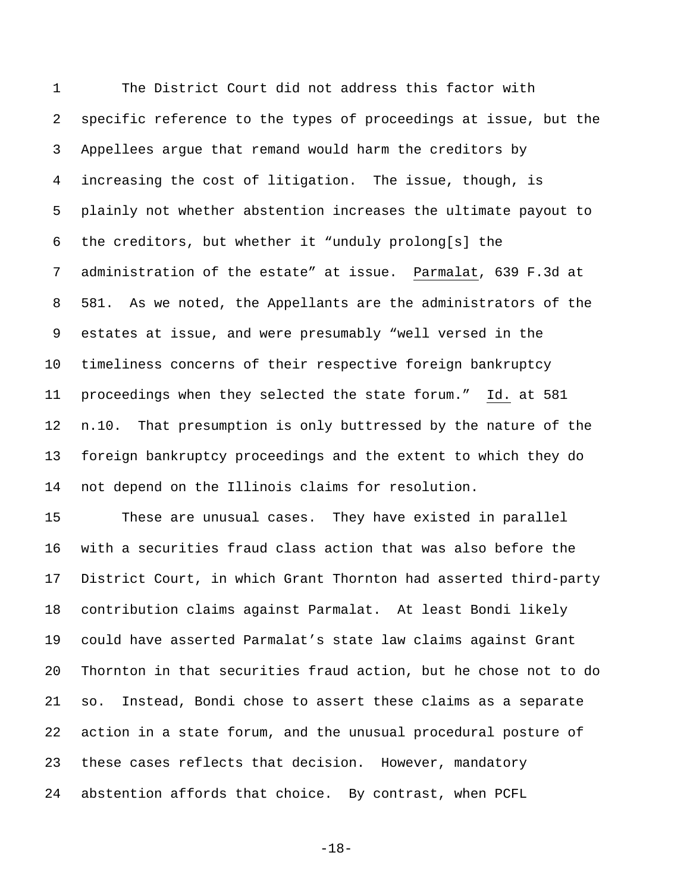1 The District Court did not address this factor with 2 specific reference to the types of proceedings at issue, but the 3 Appellees argue that remand would harm the creditors by 4 increasing the cost of litigation.The issue, though, is 5 plainly not whether abstention increases the ultimate payout to 6 the creditors, but whether it "unduly prolong[s] the 7 administration of the estate" at issue. Parmalat, 639 F.3d at 8 581. As we noted, the Appellants are the administrators of the 9 estates at issue, and were presumably "well versed in the 10 timeliness concerns of their respective foreign bankruptcy 11 proceedings when they selected the state forum." Id. at 581 12 n.10. That presumption is only buttressed by the nature of the 13 foreign bankruptcy proceedings and the extent to which they do 14 not depend on the Illinois claims for resolution.

15 These are unusual cases. They have existed in parallel 16 with a securities fraud class action that was also before the 17 District Court, in which Grant Thornton had asserted third-party 18 contribution claims against Parmalat. At least Bondi likely 19 could have asserted Parmalat's state law claims against Grant 20 Thornton in that securities fraud action, but he chose not to do 21 so. Instead, Bondi chose to assert these claims as a separate 22 action in a state forum, and the unusual procedural posture of 23 these cases reflects that decision. However, mandatory 24 abstention affords that choice. By contrast, when PCFL

-18-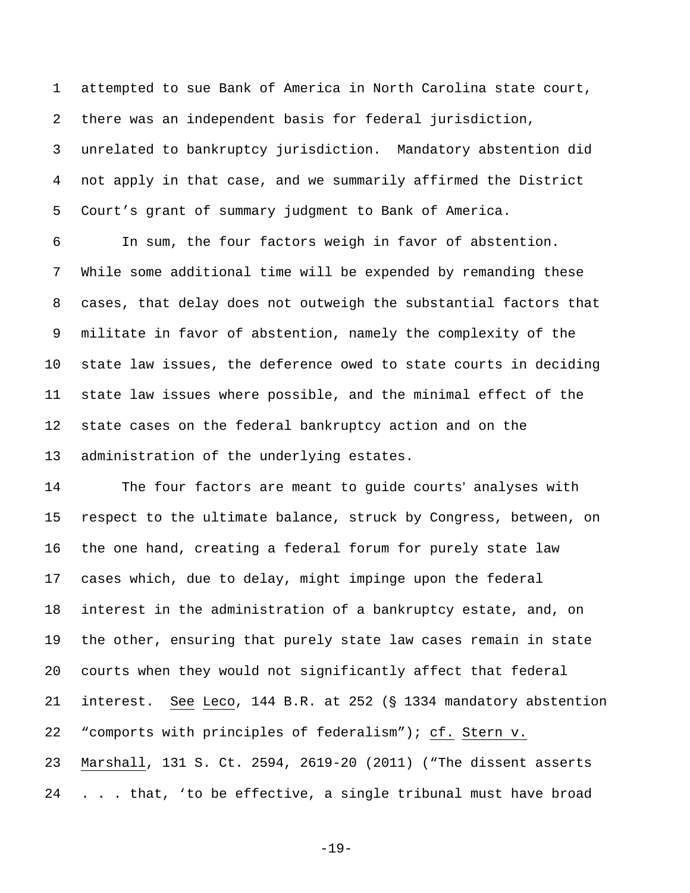1 attempted to sue Bank of America in North Carolina state court, 2 there was an independent basis for federal jurisdiction, 3 unrelated to bankruptcy jurisdiction. Mandatory abstention did 4 not apply in that case, and we summarily affirmed the District 5 Court's grant of summary judgment to Bank of America.

6 In sum, the four factors weigh in favor of abstention. 7 While some additional time will be expended by remanding these 8 cases, that delay does not outweigh the substantial factors that 9 militate in favor of abstention, namely the complexity of the 10 state law issues, the deference owed to state courts in deciding 11 state law issues where possible, and the minimal effect of the 12 state cases on the federal bankruptcy action and on the 13 administration of the underlying estates.

14 The four factors are meant to guide courts' analyses with 15 respect to the ultimate balance, struck by Congress, between, on 16 the one hand, creating a federal forum for purely state law 17 cases which, due to delay, might impinge upon the federal 18 interest in the administration of a bankruptcy estate, and, on 19 the other, ensuring that purely state law cases remain in state 20 courts when they would not significantly affect that federal 21 interest. See Leco, 144 B.R. at 252 ( $\S$  1334 mandatory abstention 22 "comports with principles of federalism"); cf. Stern v. 23 Marshall, 131 S. Ct. 2594, 2619-20 (2011) ("The dissent asserts 24 . . . that, 'to be effective, a single tribunal must have broad

-19-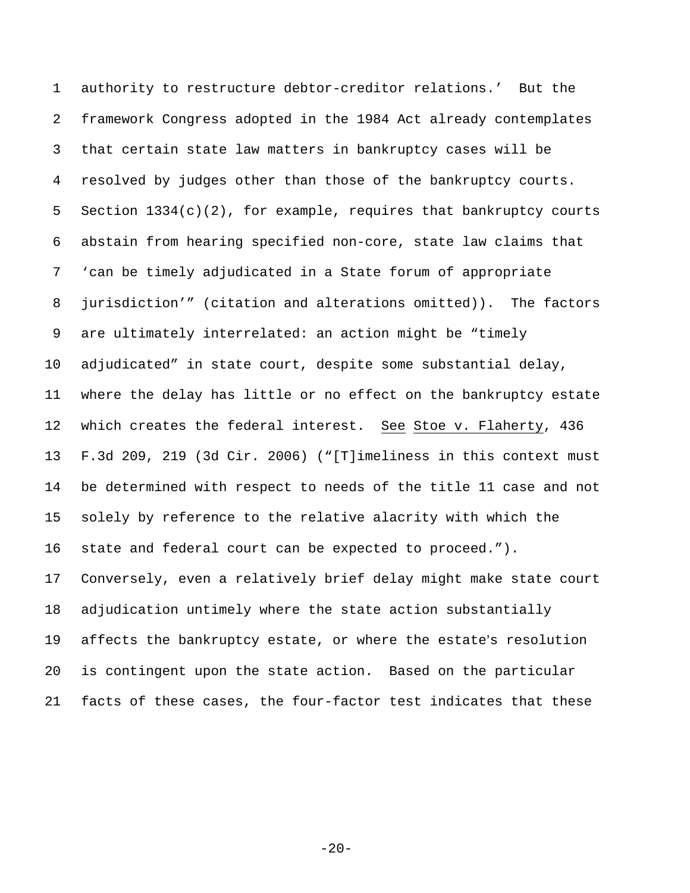1 authority to restructure debtor-creditor relations.' But the 2 framework Congress adopted in the 1984 Act already contemplates 3 that certain state law matters in bankruptcy cases will be 4 resolved by judges other than those of the bankruptcy courts. 5 Section  $1334(c)(2)$ , for example, requires that bankruptcy courts 6 abstain from hearing specified non-core, state law claims that 7 'can be timely adjudicated in a State forum of appropriate 8 jurisdiction'" (citation and alterations omitted)). The factors 9 are ultimately interrelated: an action might be "timely 10 adjudicated" in state court, despite some substantial delay, 11 where the delay has little or no effect on the bankruptcy estate 12 which creates the federal interest. See Stoe v. Flaherty, 436 13 F.3d 209, 219 (3d Cir. 2006) ("[T]imeliness in this context must 14 be determined with respect to needs of the title 11 case and not 15 solely by reference to the relative alacrity with which the 16 state and federal court can be expected to proceed."). 17 Conversely, even a relatively brief delay might make state court 18 adjudication untimely where the state action substantially 19 affects the bankruptcy estate, or where the estate's resolution 20 is contingent upon the state action. Based on the particular 21 facts of these cases, the four-factor test indicates that these

 $-20-$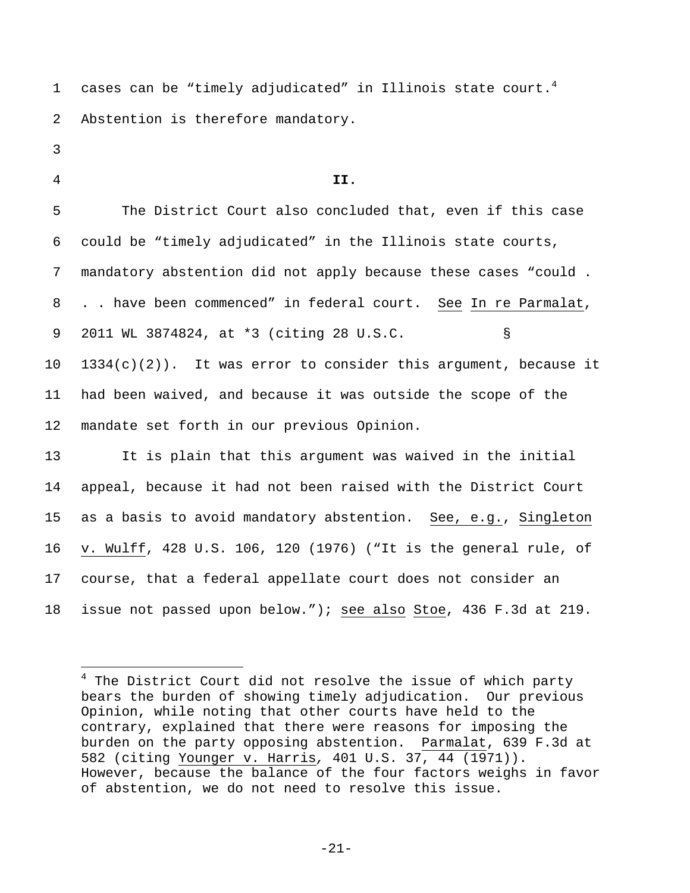1 cases can be "timely adjudicated" in Illinois state court.<sup>4</sup> 2 Abstention is therefore mandatory.

- 3
- 

i<br>Li

## 4 **II.**

5 The District Court also concluded that, even if this case 6 could be "timely adjudicated" in the Illinois state courts, 7 mandatory abstention did not apply because these cases "could . 8 . . have been commenced" in federal court. See In re Parmalat, 9 2011 WL 3874824, at \*3 (citing 28 U.S.C. §  $10$   $1334(c)(2)$ . It was error to consider this argument, because it 11 had been waived, and because it was outside the scope of the 12 mandate set forth in our previous Opinion.

13 It is plain that this argument was waived in the initial 14 appeal, because it had not been raised with the District Court 15 as a basis to avoid mandatory abstention. See, e.g., Singleton 16 v. Wulff, 428 U.S. 106, 120 (1976) ("It is the general rule, of 17 course, that a federal appellate court does not consider an 18 issue not passed upon below."); see also Stoe, 436 F.3d at 219.

<sup>&</sup>lt;sup>4</sup> The District Court did not resolve the issue of which party bears the burden of showing timely adjudication. Our previous Opinion, while noting that other courts have held to the contrary, explained that there were reasons for imposing the burden on the party opposing abstention. Parmalat, 639 F.3d at 582 (citing Younger v. Harris*,* 401 U.S. 37, 44 (1971)). However, because the balance of the four factors weighs in favor of abstention, we do not need to resolve this issue.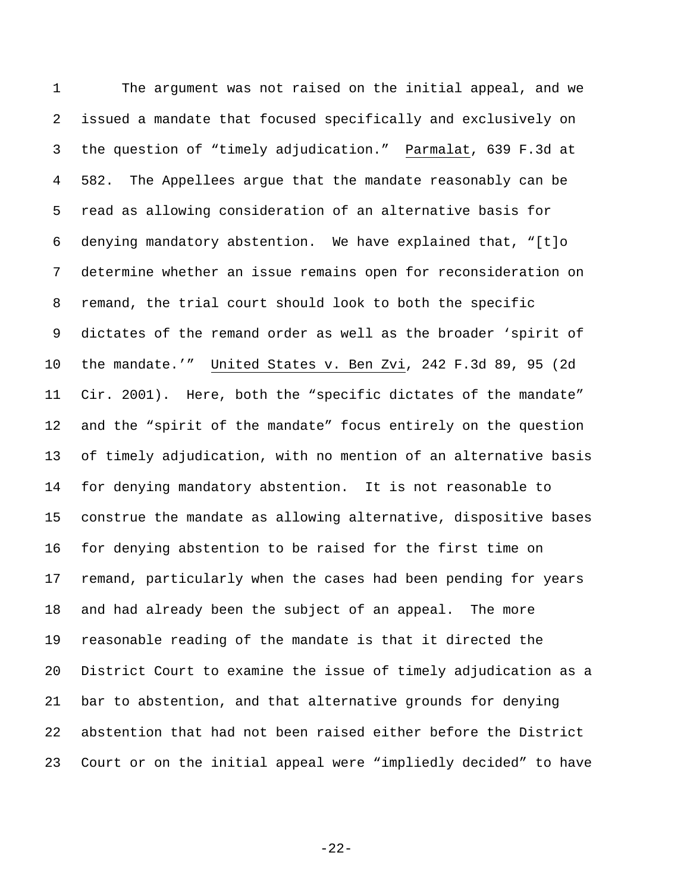1 The argument was not raised on the initial appeal, and we 2 issued a mandate that focused specifically and exclusively on 3 the question of "timely adjudication." Parmalat, 639 F.3d at 4 582. The Appellees argue that the mandate reasonably can be 5 read as allowing consideration of an alternative basis for 6 denying mandatory abstention. We have explained that, "[t]o 7 determine whether an issue remains open for reconsideration on 8 remand, the trial court should look to both the specific 9 dictates of the remand order as well as the broader 'spirit of 10 the mandate.'" United States v. Ben Zvi, 242 F.3d 89, 95 (2d 11 Cir. 2001). Here, both the "specific dictates of the mandate" 12 and the "spirit of the mandate" focus entirely on the question 13 of timely adjudication, with no mention of an alternative basis 14 for denying mandatory abstention. It is not reasonable to 15 construe the mandate as allowing alternative, dispositive bases 16 for denying abstention to be raised for the first time on 17 remand, particularly when the cases had been pending for years 18 and had already been the subject of an appeal. The more 19 reasonable reading of the mandate is that it directed the 20 District Court to examine the issue of timely adjudication as a 21 bar to abstention, and that alternative grounds for denying 22 abstention that had not been raised either before the District 23 Court or on the initial appeal were "impliedly decided" to have

-22-